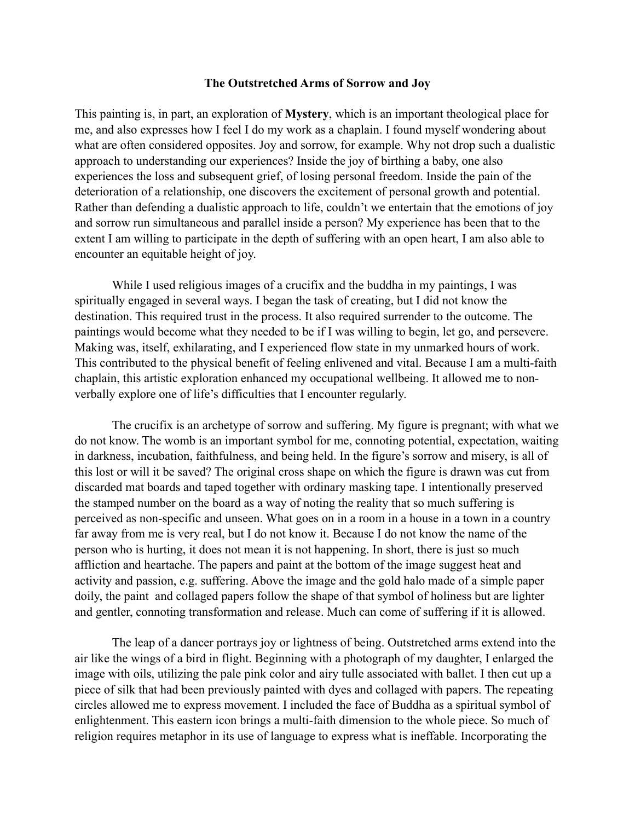## **The Outstretched Arms of Sorrow and Joy**

This painting is, in part, an exploration of **Mystery**, which is an important theological place for me, and also expresses how I feel I do my work as a chaplain. I found myself wondering about what are often considered opposites. Joy and sorrow, for example. Why not drop such a dualistic approach to understanding our experiences? Inside the joy of birthing a baby, one also experiences the loss and subsequent grief, of losing personal freedom. Inside the pain of the deterioration of a relationship, one discovers the excitement of personal growth and potential. Rather than defending a dualistic approach to life, couldn't we entertain that the emotions of joy and sorrow run simultaneous and parallel inside a person? My experience has been that to the extent I am willing to participate in the depth of suffering with an open heart, I am also able to encounter an equitable height of joy.

 While I used religious images of a crucifix and the buddha in my paintings, I was spiritually engaged in several ways. I began the task of creating, but I did not know the destination. This required trust in the process. It also required surrender to the outcome. The paintings would become what they needed to be if I was willing to begin, let go, and persevere. Making was, itself, exhilarating, and I experienced flow state in my unmarked hours of work. This contributed to the physical benefit of feeling enlivened and vital. Because I am a multi-faith chaplain, this artistic exploration enhanced my occupational wellbeing. It allowed me to nonverbally explore one of life's difficulties that I encounter regularly.

 The crucifix is an archetype of sorrow and suffering. My figure is pregnant; with what we do not know. The womb is an important symbol for me, connoting potential, expectation, waiting in darkness, incubation, faithfulness, and being held. In the figure's sorrow and misery, is all of this lost or will it be saved? The original cross shape on which the figure is drawn was cut from discarded mat boards and taped together with ordinary masking tape. I intentionally preserved the stamped number on the board as a way of noting the reality that so much suffering is perceived as non-specific and unseen. What goes on in a room in a house in a town in a country far away from me is very real, but I do not know it. Because I do not know the name of the person who is hurting, it does not mean it is not happening. In short, there is just so much affliction and heartache. The papers and paint at the bottom of the image suggest heat and activity and passion, e.g. suffering. Above the image and the gold halo made of a simple paper doily, the paint and collaged papers follow the shape of that symbol of holiness but are lighter and gentler, connoting transformation and release. Much can come of suffering if it is allowed.

 The leap of a dancer portrays joy or lightness of being. Outstretched arms extend into the air like the wings of a bird in flight. Beginning with a photograph of my daughter, I enlarged the image with oils, utilizing the pale pink color and airy tulle associated with ballet. I then cut up a piece of silk that had been previously painted with dyes and collaged with papers. The repeating circles allowed me to express movement. I included the face of Buddha as a spiritual symbol of enlightenment. This eastern icon brings a multi-faith dimension to the whole piece. So much of religion requires metaphor in its use of language to express what is ineffable. Incorporating the